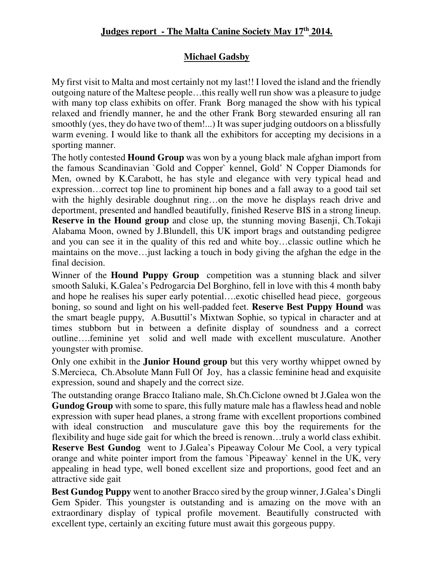## **Michael Gadsby**

My first visit to Malta and most certainly not my last!! I loved the island and the friendly outgoing nature of the Maltese people…this really well run show was a pleasure to judge with many top class exhibits on offer. Frank Borg managed the show with his typical relaxed and friendly manner, he and the other Frank Borg stewarded ensuring all ran smoothly (yes, they do have two of them!...) It was super judging outdoors on a blissfully warm evening. I would like to thank all the exhibitors for accepting my decisions in a sporting manner.

The hotly contested **Hound Group** was won by a young black male afghan import from the famous Scandinavian `Gold and Copper` kennel, Gold' N Copper Diamonds for Men, owned by K.Carabott, he has style and elegance with very typical head and expression…correct top line to prominent hip bones and a fall away to a good tail set with the highly desirable doughnut ring...on the move he displays reach drive and deportment, presented and handled beautifully, finished Reserve BIS in a strong lineup. **Reserve in the Hound group** and close up, the stunning moving Basenji, Ch.Tokaji Alabama Moon, owned by J.Blundell, this UK import brags and outstanding pedigree and you can see it in the quality of this red and white boy…classic outline which he maintains on the move…just lacking a touch in body giving the afghan the edge in the final decision.

Winner of the **Hound Puppy Group** competition was a stunning black and silver smooth Saluki, K.Galea's Pedrogarcia Del Borghino, fell in love with this 4 month baby and hope he realises his super early potential….exotic chiselled head piece, gorgeous boning, so sound and light on his well-padded feet. **Reserve Best Puppy Hound** was the smart beagle puppy, A.Busuttil's Mixtwan Sophie, so typical in character and at times stubborn but in between a definite display of soundness and a correct outline….feminine yet solid and well made with excellent musculature. Another youngster with promise.

Only one exhibit in the **Junior Hound group** but this very worthy whippet owned by S.Mercieca, Ch.Absolute Mann Full Of Joy, has a classic feminine head and exquisite expression, sound and shapely and the correct size.

The outstanding orange Bracco Italiano male, Sh.Ch.Ciclone owned bt J.Galea won the **Gundog Group** with some to spare, this fully mature male has a flawless head and noble expression with super head planes, a strong frame with excellent proportions combined with ideal construction and musculature gave this boy the requirements for the flexibility and huge side gait for which the breed is renown…truly a world class exhibit. **Reserve Best Gundog** went to J.Galea's Pipeaway Colour Me Cool, a very typical orange and white pointer import from the famous `Pipeaway` kennel in the UK, very appealing in head type, well boned excellent size and proportions, good feet and an attractive side gait

**Best Gundog Puppy** went to another Bracco sired by the group winner, J.Galea's Dingli Gem Spider. This youngster is outstanding and is amazing on the move with an extraordinary display of typical profile movement. Beautifully constructed with excellent type, certainly an exciting future must await this gorgeous puppy.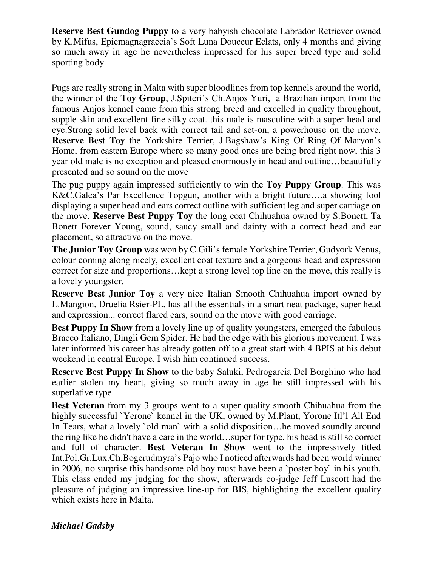**Reserve Best Gundog Puppy** to a very babyish chocolate Labrador Retriever owned by K.Mifus, Epicmagnagraecia's Soft Luna Douceur Eclats, only 4 months and giving so much away in age he nevertheless impressed for his super breed type and solid sporting body.

Pugs are really strong in Malta with super bloodlines from top kennels around the world, the winner of the **Toy Group**, J.Spiteri's Ch.Anjos Yuri, a Brazilian import from the famous Anjos kennel came from this strong breed and excelled in quality throughout, supple skin and excellent fine silky coat. this male is masculine with a super head and eye.Strong solid level back with correct tail and set-on, a powerhouse on the move. **Reserve Best Toy** the Yorkshire Terrier, J.Bagshaw's King Of Ring Of Maryon's Home, from eastern Europe where so many good ones are being bred right now, this 3 year old male is no exception and pleased enormously in head and outline…beautifully presented and so sound on the move

The pug puppy again impressed sufficiently to win the **Toy Puppy Group**. This was K&C.Galea's Par Excellence Topgun, another with a bright future….a showing fool displaying a super head and ears correct outline with sufficient leg and super carriage on the move. **Reserve Best Puppy Toy** the long coat Chihuahua owned by S.Bonett, Ta Bonett Forever Young, sound, saucy small and dainty with a correct head and ear placement, so attractive on the move.

**The Junior Toy Group** was won by C.Gili's female Yorkshire Terrier, Gudyork Venus, colour coming along nicely, excellent coat texture and a gorgeous head and expression correct for size and proportions…kept a strong level top line on the move, this really is a lovely youngster.

**Reserve Best Junior Toy** a very nice Italian Smooth Chihuahua import owned by L.Mangion, Druelia Rsier-PL, has all the essentials in a smart neat package, super head and expression... correct flared ears, sound on the move with good carriage.

**Best Puppy In Show** from a lovely line up of quality youngsters, emerged the fabulous Bracco Italiano, Dingli Gem Spider. He had the edge with his glorious movement. I was later informed his career has already gotten off to a great start with 4 BPIS at his debut weekend in central Europe. I wish him continued success.

**Reserve Best Puppy In Show** to the baby Saluki, Pedrogarcia Del Borghino who had earlier stolen my heart, giving so much away in age he still impressed with his superlative type.

**Best Veteran** from my 3 groups went to a super quality smooth Chihuahua from the highly successful `Yerone` kennel in the UK, owned by M.Plant, Yorone Itl'l All End In Tears, what a lovely `old man` with a solid disposition... he moved soundly around the ring like he didn't have a care in the world…super for type, his head is still so correct and full of character. **Best Veteran In Show** went to the impressively titled Int.Pol.Gr.Lux.Ch.Bogerudmyra's Pajo who I noticed afterwards had been world winner in 2006, no surprise this handsome old boy must have been a `poster boy` in his youth. This class ended my judging for the show, afterwards co-judge Jeff Luscott had the pleasure of judging an impressive line-up for BIS, highlighting the excellent quality which exists here in Malta.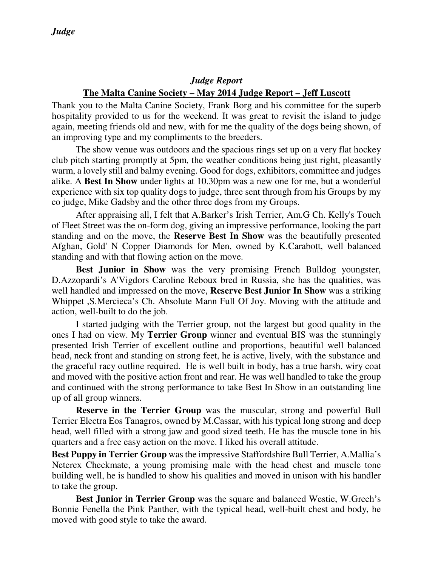## *Judge Report*  **The Malta Canine Society – May 2014 Judge Report – Jeff Luscott**

Thank you to the Malta Canine Society, Frank Borg and his committee for the superb hospitality provided to us for the weekend. It was great to revisit the island to judge again, meeting friends old and new, with for me the quality of the dogs being shown, of an improving type and my compliments to the breeders.

The show venue was outdoors and the spacious rings set up on a very flat hockey club pitch starting promptly at 5pm, the weather conditions being just right, pleasantly warm, a lovely still and balmy evening. Good for dogs, exhibitors, committee and judges alike. A **Best In Show** under lights at 10.30pm was a new one for me, but a wonderful experience with six top quality dogs to judge, three sent through from his Groups by my co judge, Mike Gadsby and the other three dogs from my Groups.

After appraising all, I felt that A.Barker's Irish Terrier, Am.G Ch. Kelly's Touch of Fleet Street was the on-form dog, giving an impressive performance, looking the part standing and on the move, the **Reserve Best In Show** was the beautifully presented Afghan, Gold' N Copper Diamonds for Men, owned by K.Carabott, well balanced standing and with that flowing action on the move.

**Best Junior in Show** was the very promising French Bulldog youngster, D.Azzopardi's A'Vigdors Caroline Reboux bred in Russia, she has the qualities, was well handled and impressed on the move, **Reserve Best Junior In Show** was a striking Whippet ,S.Mercieca's Ch. Absolute Mann Full Of Joy. Moving with the attitude and action, well-built to do the job.

I started judging with the Terrier group, not the largest but good quality in the ones I had on view. My **Terrier Group** winner and eventual BIS was the stunningly presented Irish Terrier of excellent outline and proportions, beautiful well balanced head, neck front and standing on strong feet, he is active, lively, with the substance and the graceful racy outline required. He is well built in body, has a true harsh, wiry coat and moved with the positive action front and rear. He was well handled to take the group and continued with the strong performance to take Best In Show in an outstanding line up of all group winners.

**Reserve in the Terrier Group** was the muscular, strong and powerful Bull Terrier Electra Eos Tanagros, owned by M.Cassar, with his typical long strong and deep head, well filled with a strong jaw and good sized teeth. He has the muscle tone in his quarters and a free easy action on the move. I liked his overall attitude.

**Best Puppy in Terrier Group** was the impressive Staffordshire Bull Terrier, A.Mallia's Neterex Checkmate, a young promising male with the head chest and muscle tone building well, he is handled to show his qualities and moved in unison with his handler to take the group.

**Best Junior in Terrier Group** was the square and balanced Westie, W.Grech's Bonnie Fenella the Pink Panther, with the typical head, well-built chest and body, he moved with good style to take the award.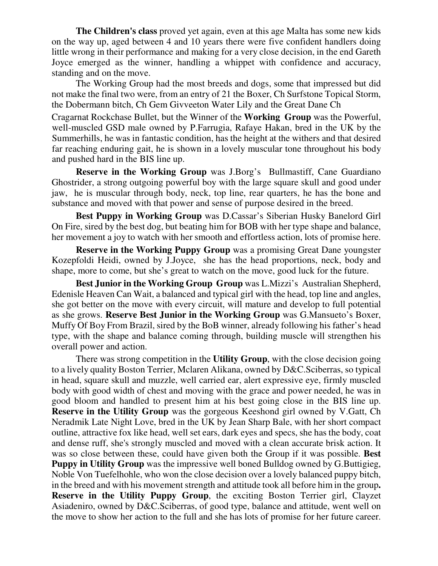**The Children's class** proved yet again, even at this age Malta has some new kids on the way up, aged between 4 and 10 years there were five confident handlers doing little wrong in their performance and making for a very close decision, in the end Gareth Joyce emerged as the winner, handling a whippet with confidence and accuracy, standing and on the move.

The Working Group had the most breeds and dogs, some that impressed but did not make the final two were, from an entry of 21 the Boxer, Ch Surfstone Topical Storm, the Dobermann bitch, Ch Gem Givveeton Water Lily and the Great Dane Ch

Cragarnat Rockchase Bullet, but the Winner of the **Working Group** was the Powerful, well-muscled GSD male owned by P.Farrugia, Rafaye Hakan, bred in the UK by the Summerhills, he was in fantastic condition, has the height at the withers and that desired far reaching enduring gait, he is shown in a lovely muscular tone throughout his body and pushed hard in the BIS line up.

**Reserve in the Working Group** was J.Borg's Bullmastiff, Cane Guardiano Ghostrider, a strong outgoing powerful boy with the large square skull and good under jaw, he is muscular through body, neck, top line, rear quarters, he has the bone and substance and moved with that power and sense of purpose desired in the breed.

**Best Puppy in Working Group** was D.Cassar's Siberian Husky Banelord Girl On Fire, sired by the best dog, but beating him for BOB with her type shape and balance, her movement a joy to watch with her smooth and effortless action, lots of promise here.

**Reserve in the Working Puppy Group** was a promising Great Dane youngster Kozepfoldi Heidi, owned by J.Joyce, she has the head proportions, neck, body and shape, more to come, but she's great to watch on the move, good luck for the future.

**Best Junior in the Working Group Group** was L.Mizzi's Australian Shepherd, Edenisle Heaven Can Wait, a balanced and typical girl with the head, top line and angles, she got better on the move with every circuit, will mature and develop to full potential as she grows. **Reserve Best Junior in the Working Group** was G.Mansueto's Boxer, Muffy Of Boy From Brazil, sired by the BoB winner, already following his father's head type, with the shape and balance coming through, building muscle will strengthen his overall power and action.

There was strong competition in the **Utility Group**, with the close decision going to a lively quality Boston Terrier, Mclaren Alikana, owned by D&C.Sciberras, so typical in head, square skull and muzzle, well carried ear, alert expressive eye, firmly muscled body with good width of chest and moving with the grace and power needed, he was in good bloom and handled to present him at his best going close in the BIS line up. **Reserve in the Utility Group** was the gorgeous Keeshond girl owned by V.Gatt, Ch Neradmik Late Night Love, bred in the UK by Jean Sharp Bale, with her short compact outline, attractive fox like head, well set ears, dark eyes and specs, she has the body, coat and dense ruff, she's strongly muscled and moved with a clean accurate brisk action. It was so close between these, could have given both the Group if it was possible. **Best Puppy in Utility Group** was the impressive well boned Bulldog owned by G.Buttigieg, Noble Von Tuefelhohle, who won the close decision over a lovely balanced puppy bitch, in the breed and with his movement strength and attitude took all before him in the group**. Reserve in the Utility Puppy Group**, the exciting Boston Terrier girl, Clayzet Asiadeniro, owned by D&C.Sciberras, of good type, balance and attitude, went well on the move to show her action to the full and she has lots of promise for her future career.